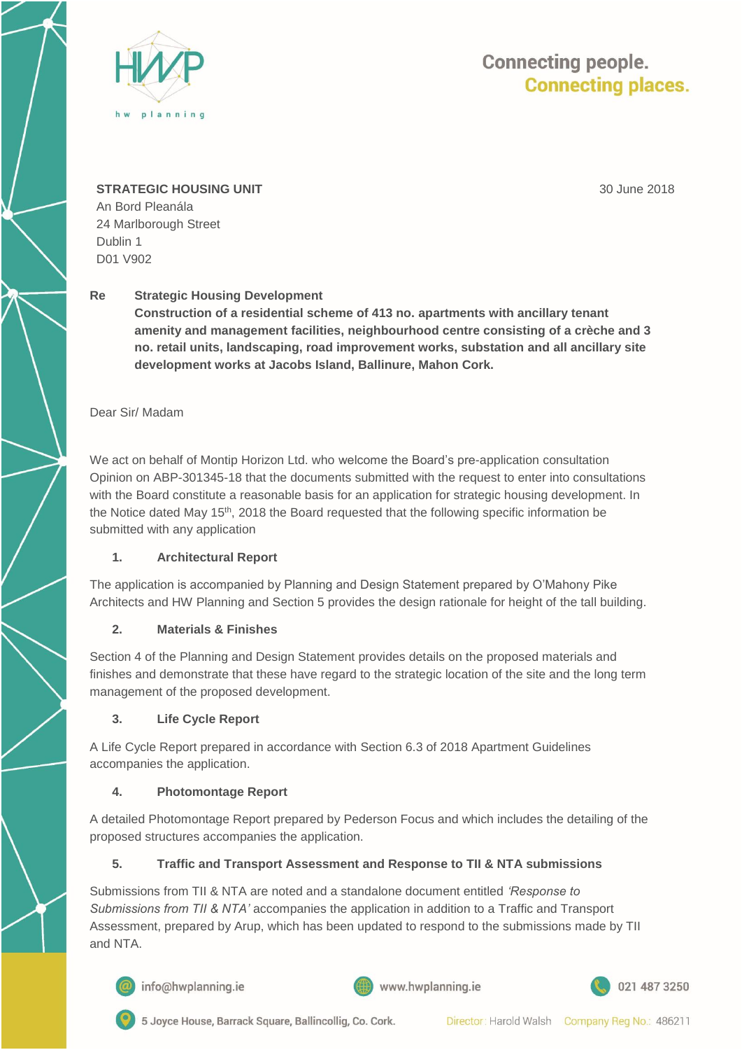

# **Connecting people. Connecting places.**

30 June 2018

#### **STRATEGIC HOUSING UNIT**

An Bord Pleanála 24 Marlborough Street Dublin 1 D01 V902

## **Re Strategic Housing Development**

**Construction of a residential scheme of 413 no. apartments with ancillary tenant amenity and management facilities, neighbourhood centre consisting of a crèche and 3 no. retail units, landscaping, road improvement works, substation and all ancillary site development works at Jacobs Island, Ballinure, Mahon Cork.** 

## Dear Sir/ Madam

We act on behalf of Montip Horizon Ltd. who welcome the Board's pre-application consultation Opinion on ABP-301345-18 that the documents submitted with the request to enter into consultations with the Board constitute a reasonable basis for an application for strategic housing development. In the Notice dated May  $15<sup>th</sup>$ , 2018 the Board requested that the following specific information be submitted with any application

#### **1. Architectural Report**

The application is accompanied by Planning and Design Statement prepared by O'Mahony Pike Architects and HW Planning and Section 5 provides the design rationale for height of the tall building.

# **2. Materials & Finishes**

Section 4 of the Planning and Design Statement provides details on the proposed materials and finishes and demonstrate that these have regard to the strategic location of the site and the long term management of the proposed development.

#### **3. Life Cycle Report**

A Life Cycle Report prepared in accordance with Section 6.3 of 2018 Apartment Guidelines accompanies the application.

#### **4. Photomontage Report**

A detailed Photomontage Report prepared by Pederson Focus and which includes the detailing of the proposed structures accompanies the application.

# **5. Traffic and Transport Assessment and Response to TII & NTA submissions**

Submissions from TII & NTA are noted and a standalone document entitled *'Response to Submissions from TII & NTA'* accompanies the application in addition to a Traffic and Transport Assessment, prepared by Arup, which has been updated to respond to the submissions made by TII and NTA.



info@hwplanning.ie







5 Joyce House, Barrack Square, Ballincollig, Co. Cork.

Director: Harold Walsh Company Reg No.: 486211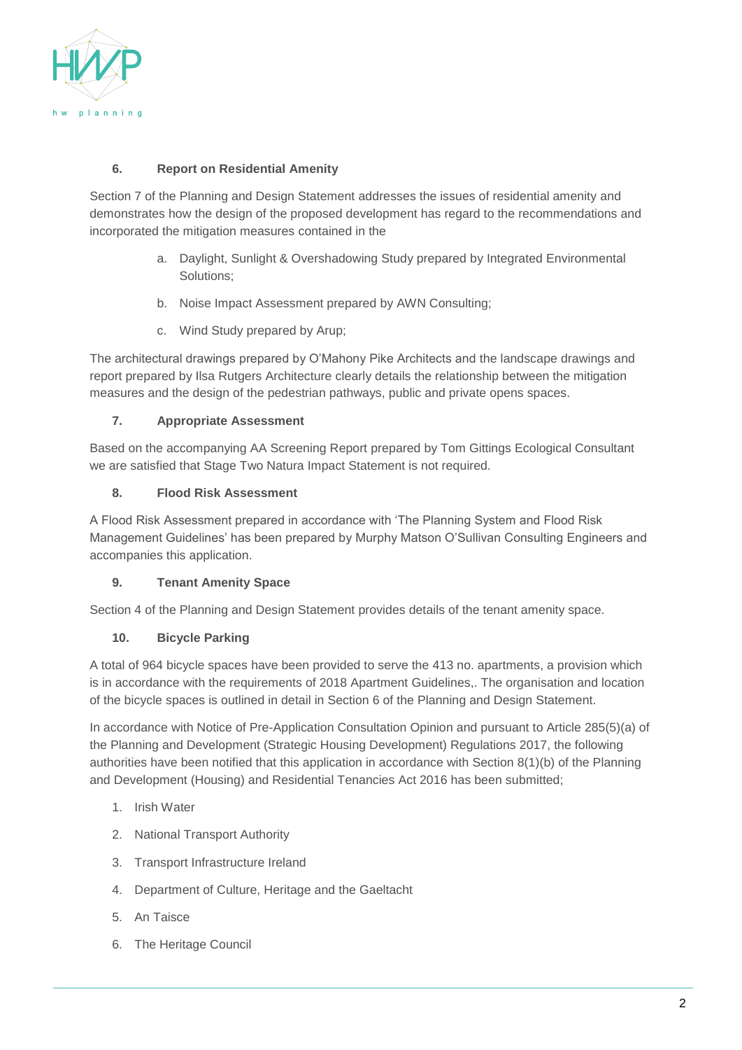

## **6. Report on Residential Amenity**

Section 7 of the Planning and Design Statement addresses the issues of residential amenity and demonstrates how the design of the proposed development has regard to the recommendations and incorporated the mitigation measures contained in the

- a. Daylight, Sunlight & Overshadowing Study prepared by Integrated Environmental Solutions;
- b. Noise Impact Assessment prepared by AWN Consulting;
- c. Wind Study prepared by Arup;

The architectural drawings prepared by O'Mahony Pike Architects and the landscape drawings and report prepared by Ilsa Rutgers Architecture clearly details the relationship between the mitigation measures and the design of the pedestrian pathways, public and private opens spaces.

## **7. Appropriate Assessment**

Based on the accompanying AA Screening Report prepared by Tom Gittings Ecological Consultant we are satisfied that Stage Two Natura Impact Statement is not required.

## **8. Flood Risk Assessment**

A Flood Risk Assessment prepared in accordance with 'The Planning System and Flood Risk Management Guidelines' has been prepared by Murphy Matson O'Sullivan Consulting Engineers and accompanies this application.

# **9. Tenant Amenity Space**

Section 4 of the Planning and Design Statement provides details of the tenant amenity space.

#### **10. Bicycle Parking**

A total of 964 bicycle spaces have been provided to serve the 413 no. apartments, a provision which is in accordance with the requirements of 2018 Apartment Guidelines,. The organisation and location of the bicycle spaces is outlined in detail in Section 6 of the Planning and Design Statement.

In accordance with Notice of Pre-Application Consultation Opinion and pursuant to Article 285(5)(a) of the Planning and Development (Strategic Housing Development) Regulations 2017, the following authorities have been notified that this application in accordance with Section 8(1)(b) of the Planning and Development (Housing) and Residential Tenancies Act 2016 has been submitted;

- 1. Irish Water
- 2. National Transport Authority
- 3. Transport Infrastructure Ireland
- 4. Department of Culture, Heritage and the Gaeltacht
- 5. An Taisce
- 6. The Heritage Council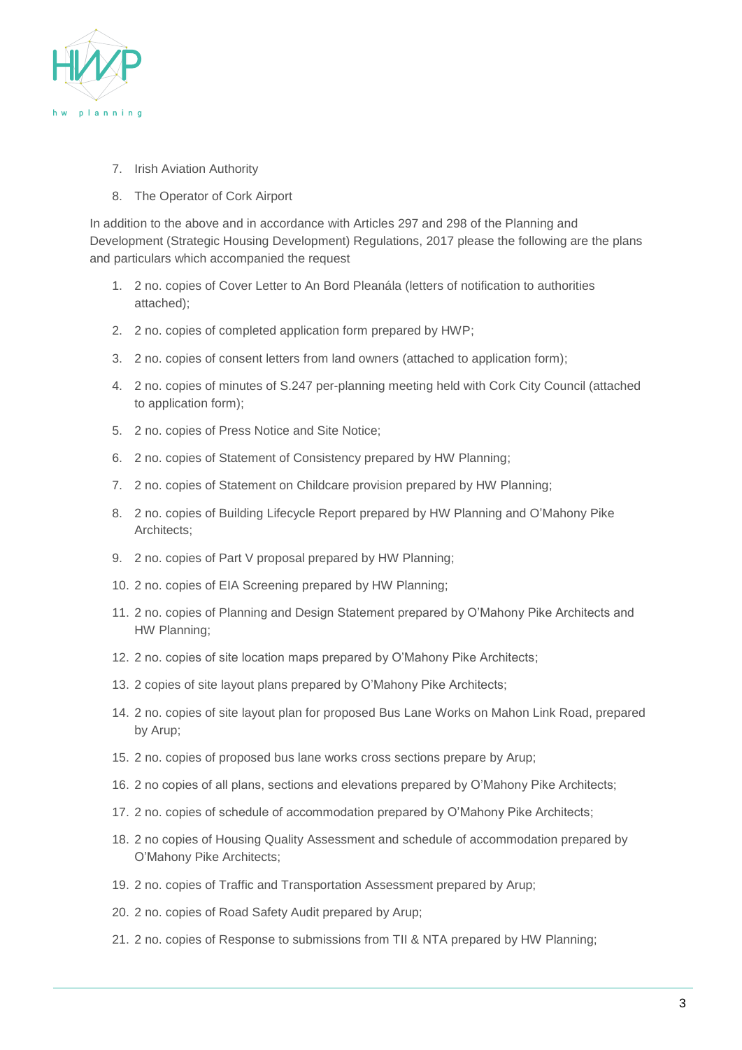

- 7. Irish Aviation Authority
- 8. The Operator of Cork Airport

In addition to the above and in accordance with Articles 297 and 298 of the Planning and Development (Strategic Housing Development) Regulations, 2017 please the following are the plans and particulars which accompanied the request

- 1. 2 no. copies of Cover Letter to An Bord Pleanála (letters of notification to authorities attached);
- 2. 2 no. copies of completed application form prepared by HWP;
- 3. 2 no. copies of consent letters from land owners (attached to application form);
- 4. 2 no. copies of minutes of S.247 per-planning meeting held with Cork City Council (attached to application form);
- 5. 2 no. copies of Press Notice and Site Notice;
- 6. 2 no. copies of Statement of Consistency prepared by HW Planning;
- 7. 2 no. copies of Statement on Childcare provision prepared by HW Planning;
- 8. 2 no. copies of Building Lifecycle Report prepared by HW Planning and O'Mahony Pike Architects;
- 9. 2 no. copies of Part V proposal prepared by HW Planning;
- 10. 2 no. copies of EIA Screening prepared by HW Planning;
- 11. 2 no. copies of Planning and Design Statement prepared by O'Mahony Pike Architects and HW Planning;
- 12. 2 no. copies of site location maps prepared by O'Mahony Pike Architects;
- 13. 2 copies of site layout plans prepared by O'Mahony Pike Architects;
- 14. 2 no. copies of site layout plan for proposed Bus Lane Works on Mahon Link Road, prepared by Arup;
- 15. 2 no. copies of proposed bus lane works cross sections prepare by Arup;
- 16. 2 no copies of all plans, sections and elevations prepared by O'Mahony Pike Architects;
- 17. 2 no. copies of schedule of accommodation prepared by O'Mahony Pike Architects;
- 18. 2 no copies of Housing Quality Assessment and schedule of accommodation prepared by O'Mahony Pike Architects;
- 19. 2 no. copies of Traffic and Transportation Assessment prepared by Arup;
- 20. 2 no. copies of Road Safety Audit prepared by Arup;
- 21. 2 no. copies of Response to submissions from TII & NTA prepared by HW Planning;